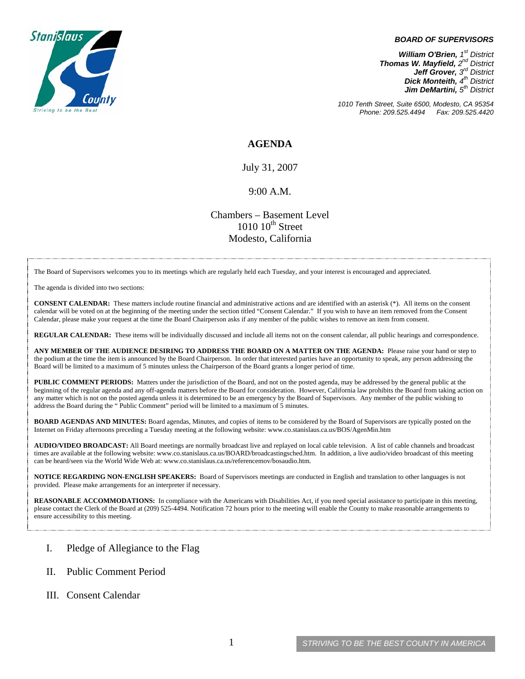

#### *BOARD OF SUPERVISORS*

*William O'Brien, 1st District Thomas W. Mayfield, 2nd District Jeff Grover, 3rd District Dick Monteith, 4th District Jim DeMartini, 5th District*

*1010 Tenth Street, Suite 6500, Modesto, CA 95354 Phone: 209.525.4494 Fax: 209.525.4420* 

### **AGENDA**

July 31, 2007

#### 9:00 A.M.

Chambers – Basement Level  $1010~10<sup>th</sup>$  Street Modesto, California

The Board of Supervisors welcomes you to its meetings which are regularly held each Tuesday, and your interest is encouraged and appreciated.

The agenda is divided into two sections:

**CONSENT CALENDAR:** These matters include routine financial and administrative actions and are identified with an asterisk (\*). All items on the consent calendar will be voted on at the beginning of the meeting under the section titled "Consent Calendar." If you wish to have an item removed from the Consent Calendar, please make your request at the time the Board Chairperson asks if any member of the public wishes to remove an item from consent.

**REGULAR CALENDAR:** These items will be individually discussed and include all items not on the consent calendar, all public hearings and correspondence.

**ANY MEMBER OF THE AUDIENCE DESIRING TO ADDRESS THE BOARD ON A MATTER ON THE AGENDA:** Please raise your hand or step to the podium at the time the item is announced by the Board Chairperson. In order that interested parties have an opportunity to speak, any person addressing the Board will be limited to a maximum of 5 minutes unless the Chairperson of the Board grants a longer period of time.

**PUBLIC COMMENT PERIODS:** Matters under the jurisdiction of the Board, and not on the posted agenda, may be addressed by the general public at the beginning of the regular agenda and any off-agenda matters before the Board for consideration. However, California law prohibits the Board from taking action on any matter which is not on the posted agenda unless it is determined to be an emergency by the Board of Supervisors. Any member of the public wishing to address the Board during the " Public Comment" period will be limited to a maximum of 5 minutes.

**BOARD AGENDAS AND MINUTES:** Board agendas, Minutes, and copies of items to be considered by the Board of Supervisors are typically posted on the Internet on Friday afternoons preceding a Tuesday meeting at the following website: [www.co.stanislaus.ca.us/BOS/AgenMin.htm](http://www.co.stanislaus.ca.us/BOS/AgenMin.htm) 

**AUDIO/VIDEO BROADCAST:** All Board meetings are normally broadcast live and replayed on local cable television. A list of cable channels and broadcast times are available at the following website: [www.co.stanislaus.ca.us/BOARD/broadcastingsched.htm](http://www.co.stanislaus.ca.us/BOARD/broadcastingsched.htm). In addition, a live audio/video broadcast of this meeting can be heard/seen via the World Wide Web at: [www.co.stanislaus.ca.us/referencemov/bosaudio.htm.](http://www.co.stanislaus.ca.us/referencemov/bosaudio.htm)

**NOTICE REGARDING NON-ENGLISH SPEAKERS:** Board of Supervisors meetings are conducted in English and translation to other languages is not provided. Please make arrangements for an interpreter if necessary.

**REASONABLE ACCOMMODATIONS:** In compliance with the Americans with Disabilities Act, if you need special assistance to participate in this meeting, please contact the Clerk of the Board at (209) 525-4494. Notification 72 hours prior to the meeting will enable the County to make reasonable arrangements to ensure accessibility to this meeting.

### I. Pledge of Allegiance to the Flag

- II. Public Comment Period
- III. Consent Calendar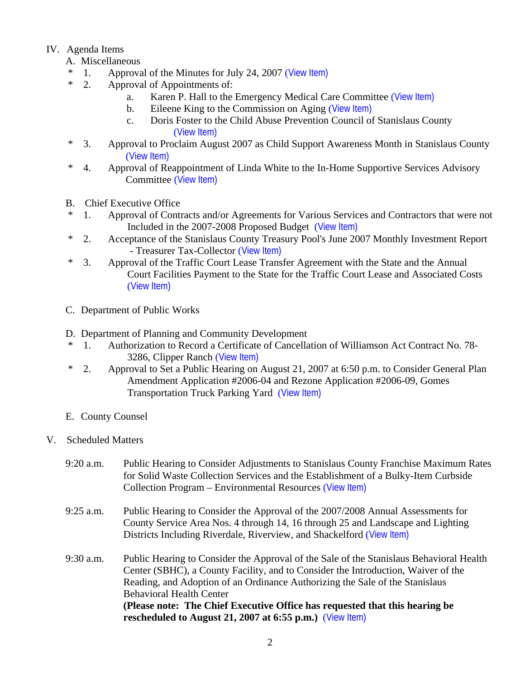# IV. Agenda Items

- A. Miscellaneous
- \* 1. Approval of the Minutes for July 24, 2007 ([View Item\)](http://www.co.stanislaus.ca.us/bos/minutes/2007/min07-24-07.pdf)
- \* 2. Approval of Appointments of:
	- a. Karen P. Hall to the Emergency Medical Care Committee ([View Item\)](http://www.co.stanislaus.ca.us/bos/agenda/2007/20070731/A02a.pdf)
	- b. Eileene King to the Commission on Aging ([View Item\)](http://www.co.stanislaus.ca.us/bos/agenda/2007/20070731/A02b.pdf)
	- c. Doris Foster to the Child Abuse Prevention Council of Stanislaus County ([View Item\)](http://www.co.stanislaus.ca.us/bos/agenda/2007/20070731/A02c.pdf)
- \* 3. Approval to Proclaim August 2007 as Child Support Awareness Month in Stanislaus County ([View Item\)](http://www.co.stanislaus.ca.us/bos/agenda/2007/20070731/A03.pdf)
- \* 4. Approval of Reappointment of Linda White to the In-Home Supportive Services Advisory Committee ([View Item\)](http://www.co.stanislaus.ca.us/bos/agenda/2007/20070731/A04.pdf)
- B. Chief Executive Office
- \* 1. Approval of Contracts and/or Agreements for Various Services and Contractors that were not Included in the 2007-2008 Proposed Budget ([View Item\)](http://www.co.stanislaus.ca.us/bos/agenda/2007/20070731/B01.pdf)
- \* 2. Acceptance of the Stanislaus County Treasury Pool's June 2007 Monthly Investment Report - Treasurer Tax-Collector ([View Item\)](http://www.co.stanislaus.ca.us/bos/agenda/2007/20070731/B02.pdf)
- \* 3. Approval of the Traffic Court Lease Transfer Agreement with the State and the Annual Court Facilities Payment to the State for the Traffic Court Lease and Associated Costs ([View Item\)](http://www.co.stanislaus.ca.us/bos/agenda/2007/20070731/B03.pdf)
- C. Department of Public Works
- D. Department of Planning and Community Development
- \* 1. Authorization to Record a Certificate of Cancellation of Williamson Act Contract No. 78- 3286, Clipper Ranch ([View Item\)](http://www.co.stanislaus.ca.us/bos/agenda/2007/20070731/D01.pdf)
- \* 2. Approval to Set a Public Hearing on August 21, 2007 at 6:50 p.m. to Consider General Plan Amendment Application #2006-04 and Rezone Application #2006-09, Gomes Transportation Truck Parking Yard ([View Item\)](http://www.co.stanislaus.ca.us/bos/agenda/2007/20070731/D02.pdf)
- E. County Counsel
- V. Scheduled Matters
	- 9:20 a.m. Public Hearing to Consider Adjustments to Stanislaus County Franchise Maximum Rates for Solid Waste Collection Services and the Establishment of a Bulky-Item Curbside Collection Program – Environmental Resources ([View Item\)](http://www.co.stanislaus.ca.us/bos/agenda/2007/20070731/PH920.pdf)
	- 9:25 a.m. Public Hearing to Consider the Approval of the 2007/2008 Annual Assessments for County Service Area Nos. 4 through 14, 16 through 25 and Landscape and Lighting Districts Including Riverdale, Riverview, and Shackelford ([View Item\)](http://www.co.stanislaus.ca.us/bos/agenda/2007/20070731/PH925.pdf)
	- 9:30 a.m. Public Hearing to Consider the Approval of the Sale of the Stanislaus Behavioral Health Center (SBHC), a County Facility, and to Consider the Introduction, Waiver of the Reading, and Adoption of an Ordinance Authorizing the Sale of the Stanislaus Behavioral Health Center **(Please note: The Chief Executive Office has requested that this hearing be rescheduled to August 21, 2007 at 6:55 p.m.)** ([View Item\)](http://www.co.stanislaus.ca.us/bos/agenda/2007/20070731/PH930.pdf)